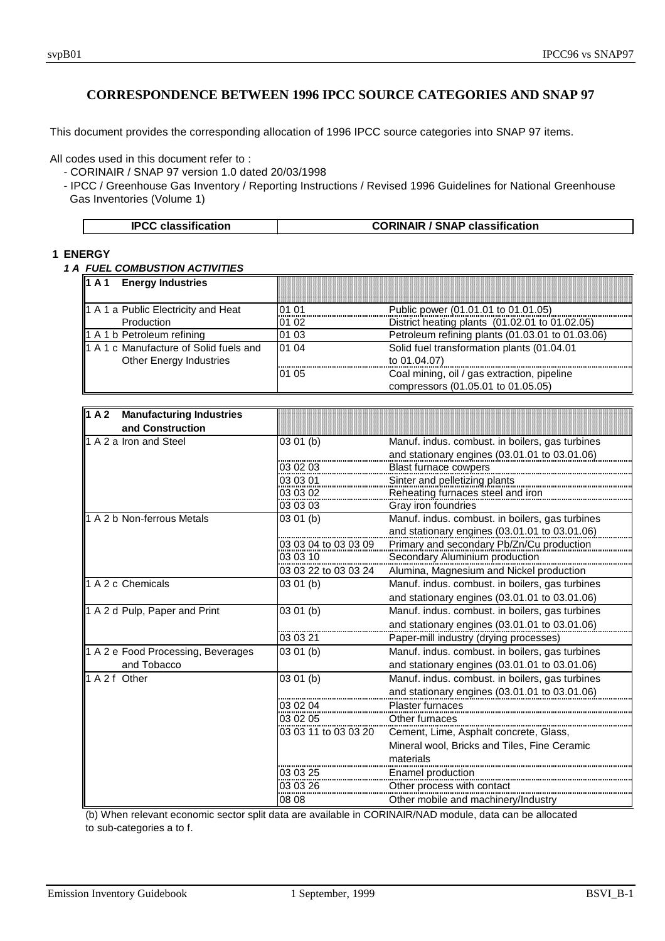This document provides the corresponding allocation of 1996 IPCC source categories into SNAP 97 items.

All codes used in this document refer to :

- CORINAIR / SNAP 97 version 1.0 dated 20/03/1998

- IPCC / Greenhouse Gas Inventory / Reporting Instructions / Revised 1996 Guidelines for National Greenhouse Gas Inventories (Volume 1)

| <b>IPCC classification</b> | <b>CORINAIR / SNAP classification</b> |
|----------------------------|---------------------------------------|
|----------------------------|---------------------------------------|

## **1 ENERGY**

*1 A FUEL COMBUSTION ACTIVITIES*

| <b>Energy Industries</b><br>1 A 1      |       |                                                  |
|----------------------------------------|-------|--------------------------------------------------|
| 1 A 1 a Public Electricity and Heat    | 01 01 | Public power (01.01.01 to 01.01.05)              |
| Production                             | 01 02 | District heating plants (01.02.01 to 01.02.05)   |
| 1 A 1 b Petroleum refining             | 01 03 | Petroleum refining plants (01.03.01 to 01.03.06) |
| 1 A 1 c Manufacture of Solid fuels and | 01 04 | Solid fuel transformation plants (01.04.01       |
| Other Energy Industries                |       | to 01.04.07)                                     |
|                                        | 01 05 | Coal mining, oil / gas extraction, pipeline      |
|                                        |       | compressors (01.05.01 to 01.05.05)               |

| $\sqrt{1}$ A 2<br><b>Manufacturing Industries</b> |                      |                                                 |
|---------------------------------------------------|----------------------|-------------------------------------------------|
| and Construction                                  |                      |                                                 |
| 1 A 2 a Iron and Steel                            | 03 01 (b)            | Manuf. indus. combust. in boilers, gas turbines |
|                                                   |                      | and stationary engines (03.01.01 to 03.01.06)   |
|                                                   | 03 02 03             | <b>Blast furnace cowpers</b>                    |
|                                                   | 03 03 01             | Sinter and pelletizing plants                   |
|                                                   | 03 03 02             | Reheating furnaces steel and iron               |
|                                                   | 03 03 03             | Gray iron foundries                             |
| 1 A 2 b Non-ferrous Metals                        | 03 01 (b)            | Manuf. indus. combust. in boilers, gas turbines |
|                                                   |                      | and stationary engines (03.01.01 to 03.01.06)   |
|                                                   | 03 03 04 to 03 03 09 | Primary and secondary Pb/Zn/Cu production       |
|                                                   | 03 03 10             | Secondary Aluminium production                  |
|                                                   | 03 03 22 to 03 03 24 | Alumina, Magnesium and Nickel production        |
| 1 A 2 c Chemicals                                 | 03 01 (b)            | Manuf. indus. combust. in boilers, gas turbines |
|                                                   |                      | and stationary engines (03.01.01 to 03.01.06)   |
| 1 A 2 d Pulp, Paper and Print                     | 03 01 (b)            | Manuf. indus. combust. in boilers, gas turbines |
|                                                   |                      | and stationary engines (03.01.01 to 03.01.06)   |
|                                                   | 03 03 21             | Paper-mill industry (drying processes)          |
| 1 A 2 e Food Processing, Beverages                | 03 01 (b)            | Manuf. indus. combust. in boilers, gas turbines |
| and Tobacco                                       |                      | and stationary engines (03.01.01 to 03.01.06)   |
| 1 A 2 f Other                                     | 03 01 (b)            | Manuf. indus. combust. in boilers, gas turbines |
|                                                   |                      | and stationary engines (03.01.01 to 03.01.06)   |
|                                                   | 03 02 04             | <b>Plaster furnaces</b>                         |
|                                                   | 03 02 05             | Other furnaces                                  |
|                                                   | 03 03 11 to 03 03 20 | Cement, Lime, Asphalt concrete, Glass,          |
|                                                   |                      | Mineral wool, Bricks and Tiles, Fine Ceramic    |
|                                                   |                      | materials                                       |
|                                                   | 03 03 25             | Enamel production                               |
|                                                   | 03 03 26             | Other process with contact                      |
|                                                   | 08 08                | Other mobile and machinery/Industry             |

(b) When relevant economic sector split data are available in CORINAIR/NAD module, data can be allocated to sub-categories a to f.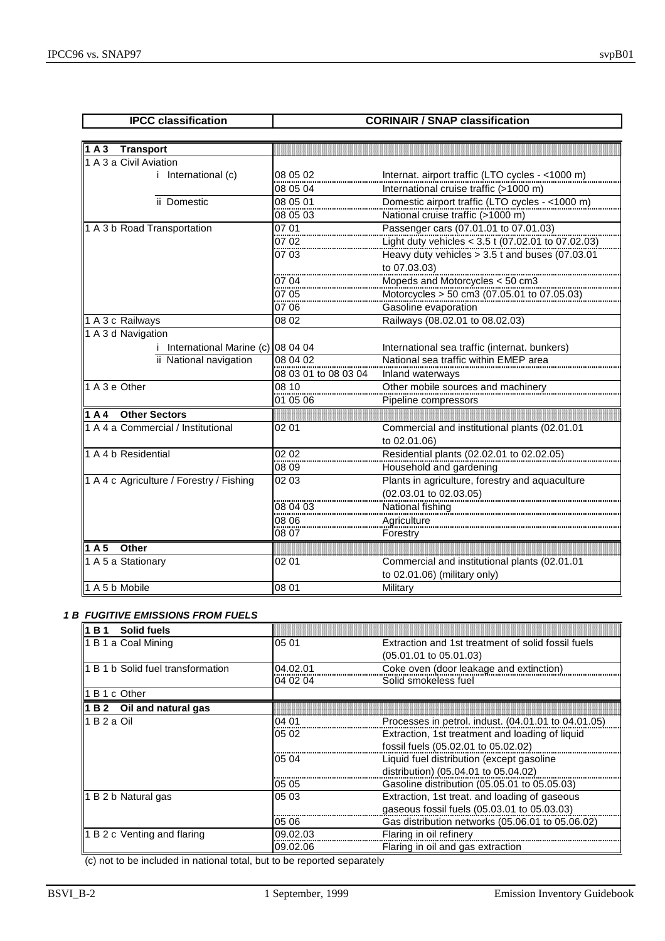| <b>IPCC</b> classification               |                      | <b>CORINAIR / SNAP classification</b>                                                                 |
|------------------------------------------|----------------------|-------------------------------------------------------------------------------------------------------|
|                                          |                      |                                                                                                       |
| 1A3<br><b>Transport</b>                  |                      |                                                                                                       |
| 1 A 3 a Civil Aviation                   |                      |                                                                                                       |
| <i>i</i> International (c)               | 08 05 02             | Internat. airport traffic (LTO cycles - <1000 m)                                                      |
|                                          | 08 05 04             | International cruise traffic (>1000 m)                                                                |
| ii Domestic                              | 08 05 01             | Domestic airport traffic (LTO cycles - <1000 m)                                                       |
|                                          | 08 05 03             | National cruise traffic (>1000 m)                                                                     |
| 1 A 3 b Road Transportation              | 07 01                | Passenger cars (07.01.01 to 07.01.03)                                                                 |
|                                          | 0702<br>.            | Light duty vehicles < 3.5 t (07.02.01 to 07.02.03)<br>Heavy duty vehicles > 3.5 t and buses (07.03.01 |
|                                          | 07 03                |                                                                                                       |
|                                          |                      | to 07.03.03)                                                                                          |
|                                          | 07 04                | Mopeds and Motorcycles < 50 cm3                                                                       |
|                                          | 07.05                | Motorcycles > 50 cm3 $(07.05.01 \text{ to } 07.05.03)$                                                |
|                                          | 07 06                | Gasoline evaporation                                                                                  |
| 1 A 3 c Railways                         | 08 02                | Railways (08.02.01 to 08.02.03)                                                                       |
| $\overline{1}$ A 3 d Navigation          |                      |                                                                                                       |
| International Marine (c) 08 04 04        |                      | International sea traffic (internat. bunkers)                                                         |
| ii National navigation                   | 08 04 02             | National sea traffic within EMEP area                                                                 |
|                                          | 08 03 01 to 08 03 04 | Inland waterways                                                                                      |
| 1 A 3 e Other                            | 08 10                | Other mobile sources and machinery                                                                    |
|                                          | 01 05 06             | Pipeline compressors                                                                                  |
| <b>Other Sectors</b><br>1A4              |                      |                                                                                                       |
| 1 A 4 a Commercial / Institutional       | 02 01                | Commercial and institutional plants (02.01.01                                                         |
|                                          |                      | to 02.01.06)                                                                                          |
| 1 A 4 b Residential                      | 0202                 | Residential plants (02.02.01 to 02.02.05)                                                             |
|                                          | 08 09                | Household and gardening                                                                               |
| 1 A 4 c Agriculture / Forestry / Fishing | 02 03                | Plants in agriculture, forestry and aquaculture                                                       |
|                                          |                      | (02.03.01 to 02.03.05)                                                                                |
|                                          | 08 04 03             | National fishing                                                                                      |
|                                          | 08 06                | Agriculture                                                                                           |
|                                          | 08 07                | Forestry                                                                                              |
| Other<br>1A5                             |                      |                                                                                                       |
| 1 A 5 a Stationary                       | 02 01                | Commercial and institutional plants (02.01.01                                                         |
|                                          |                      | to 02.01.06) (military only)                                                                          |

## *1 B FUGITIVE EMISSIONS FROM FUELS*

| 1B1<br>Solid fuels                    |          |                                                     |
|---------------------------------------|----------|-----------------------------------------------------|
| 1 B 1 a Coal Mining                   | 05 01    | Extraction and 1st treatment of solid fossil fuels  |
|                                       |          | $(05.01.01 \text{ to } 05.01.03)$                   |
| I1 B 1 b Solid fuel transformation    | 04.02.01 | Coke oven (door leakage and extinction)             |
|                                       | 04 02 04 | Solid smokeless fuel                                |
| B 1 c Other                           |          |                                                     |
| $\parallel$ 1 B 2 Oil and natural gas |          |                                                     |
| l1 B 2 a Oil                          | 04 01    | Processes in petrol. indust. (04.01.01 to 04.01.05) |
|                                       | 05 02    | Extraction, 1st treatment and loading of liquid     |
|                                       |          | fossil fuels (05.02.01 to 05.02.02)                 |
|                                       | 05 04    | Liquid fuel distribution (except gasoline           |
|                                       |          | distribution) (05.04.01 to 05.04.02)                |
|                                       | 05 05    | Gasoline distribution (05.05.01 to 05.05.03)        |
| 1 B 2 b Natural gas                   | 05 03    | Extraction, 1st treat. and loading of gaseous       |
|                                       |          | gaseous fossil fuels (05.03.01 to 05.03.03)         |
|                                       | 05 06    | Gas distribution networks (05.06.01 to 05.06.02)    |
| $\vert$ 1 B 2 c Venting and flaring   | 09.02.03 | Flaring in oil refinery                             |
|                                       | 09.02.06 | Flaring in oil and gas extraction                   |

(c) not to be included in national total, but to be reported separately

1 A 5 b Mobile 08 01 Military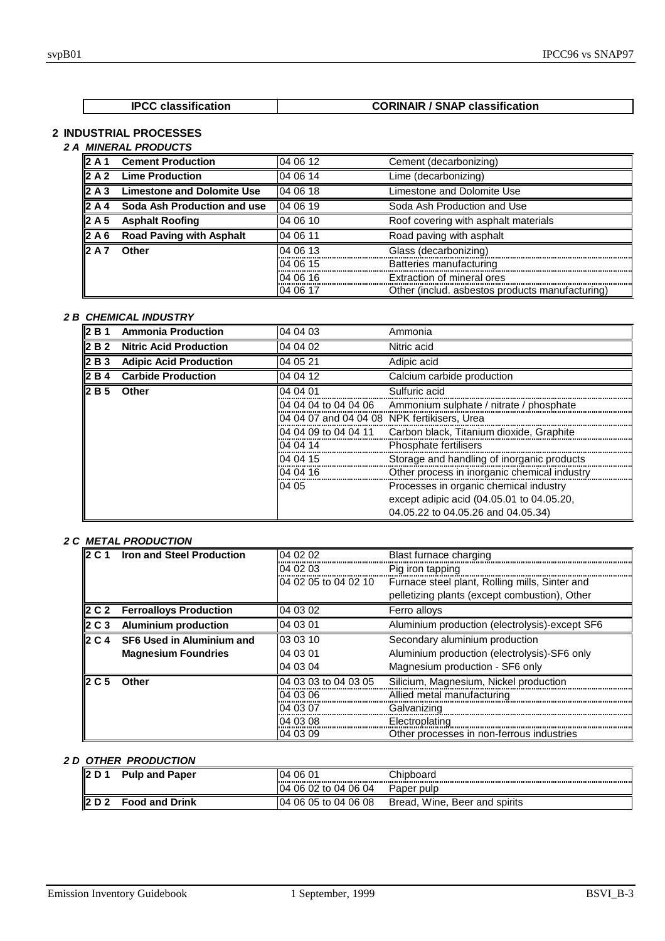| <b>IPCC classification</b> | <b>CORINAIR / SNAP classification</b> |
|----------------------------|---------------------------------------|
|                            |                                       |

## **2 INDUSTRIAL PROCESSES** *2 A MINERAL PRODUCTS*

|                   | <b><i>WINERAL PRODUCIS</i></b>    |           |                                                 |
|-------------------|-----------------------------------|-----------|-------------------------------------------------|
| $\vert$ 2 A 1     | <b>Cement Production</b>          | 04 06 12  | Cement (decarbonizing)                          |
|                   | $\ 2 \land 2\ $ Lime Production   | 04 06 14  | Lime (decarbonizing)                            |
| $\parallel$ 2 A 3 | <b>Limestone and Dolomite Use</b> | 104 06 18 | Limestone and Dolomite Use                      |
| I2 A 4            | Soda Ash Production and use       | 04 06 19  | Soda Ash Production and Use                     |
| $\vert$ 2 A 5     | <b>Asphalt Roofing</b>            | 04 06 10  | Roof covering with asphalt materials            |
| $\parallel$ 2 A 6 | <b>Road Paving with Asphalt</b>   | 04 06 11  | Road paving with asphalt                        |
| 12 A 7            | <b>Other</b>                      | 04 06 13  | Glass (decarbonizing)                           |
|                   |                                   | 04 06 15  | Batteries manufacturing                         |
|                   |                                   | 04 06 16  | Extraction of mineral ores                      |
|                   |                                   | 04 06 17  | Other (includ. asbestos products manufacturing) |

## *2 B CHEMICAL INDUSTRY*

| 2B1             | <b>Ammonia Production</b>     | 04 04 03                                    | Ammonia                                      |
|-----------------|-------------------------------|---------------------------------------------|----------------------------------------------|
| 2B <sub>2</sub> | <b>Nitric Acid Production</b> | 04 04 02                                    | Nitric acid                                  |
| 2 B 3           | <b>Adipic Acid Production</b> | 04 05 21                                    | Adipic acid                                  |
| I2 B 4          | <b>Carbide Production</b>     | 04 04 12                                    | Calcium carbide production                   |
| <b>2B5</b>      | Other                         | 04 04 01                                    | Sulfuric acid                                |
|                 |                               | 04 04 04 to 04 04 06                        | Ammonium sulphate / nitrate / phosphate      |
|                 |                               | 04 04 07 and 04 04 08 NPK fertikisers, Urea |                                              |
|                 |                               | 04 04 09 to 04 04 11                        | Carbon black, Titanium dioxide, Graphite     |
|                 |                               | 04 04 14                                    | <b>Phosphate fertilisers</b>                 |
|                 |                               | 04 04 15                                    | Storage and handling of inorganic products   |
|                 |                               | 04 04 16                                    | Other process in inorganic chemical industry |
|                 |                               | 04 05                                       | Processes in organic chemical industry       |
|                 |                               |                                             | except adipic acid (04.05.01 to 04.05.20,    |
|                 |                               |                                             | 04.05.22 to 04.05.26 and 04.05.34)           |

## *2 C METAL PRODUCTION*

| <b>I2 C 1</b>      | <b>Iron and Steel Production</b> | 04 02 02             | Blast furnace charging                         |
|--------------------|----------------------------------|----------------------|------------------------------------------------|
|                    |                                  | 04 02 03             | Pig iron tapping                               |
|                    |                                  | 04 02 05 to 04 02 10 | Furnace steel plant, Rolling mills, Sinter and |
|                    |                                  |                      | pelletizing plants (except combustion), Other  |
| II2 C2             | <b>Ferroalloys Production</b>    | 04 03 02             | Ferro alloys                                   |
| $\ 2\ C\ 3\ $      | <b>Aluminium production</b>      | 04 03 01             | Aluminium production (electrolysis)-except SF6 |
| $ 2 \mathsf{C} 4 $ | <b>SF6 Used in Aluminium and</b> | 03 03 10             | Secondary aluminium production                 |
|                    | <b>Magnesium Foundries</b>       | 04 03 01             | Aluminium production (electrolysis)-SF6 only   |
|                    |                                  | 04 03 04             | Magnesium production - SF6 only                |
| <b>I2 C 5</b>      | Other                            | 04 03 03 to 04 03 05 | Silicium, Magnesium, Nickel production         |
|                    |                                  | 04 03 06             | Allied metal manufacturing                     |
|                    |                                  | 04 03 07             | Galvanizing                                    |
|                    |                                  | 04 03 08             | Electroplating                                 |
|                    |                                  | 04 03 09             | Other processes in non-ferrous industries      |

## *2 D OTHER PRODUCTION*

| י ה פו | <b>Pulp and Paper</b> | 0601<br>04            | Chipboard                          |
|--------|-----------------------|-----------------------|------------------------------------|
|        |                       | 04 06 02 to 04 06 04  | Paper pulp                         |
|        | <b>Food and Drink</b> | 104 06 05 to 04 06 08 | . Wine, Beer and spirits<br>Bread, |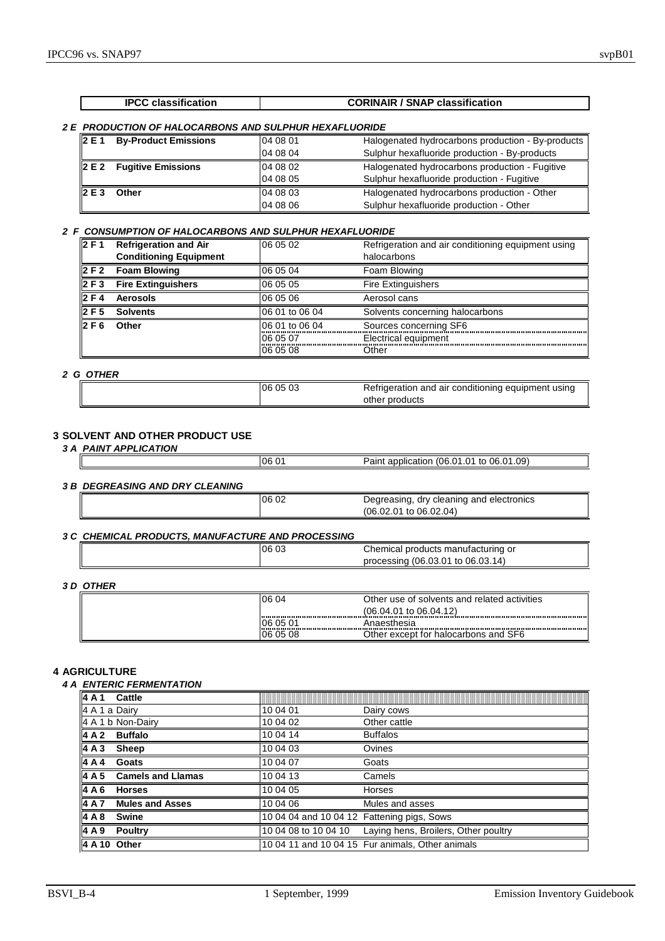#### *2 E PRODUCTION OF HALOCARBONS AND SULPHUR HEXAFLUORIDE*

| 2 E 1 | <b>By-Product Emissions</b>           | 104 08 01 | Halogenated hydrocarbons production - By-products |
|-------|---------------------------------------|-----------|---------------------------------------------------|
|       |                                       | 04 08 04  | Sulphur hexafluoride production - By-products     |
|       | $\ 2 \text{ E } 2$ Fugitive Emissions | 104 08 02 | Halogenated hydrocarbons production - Fugitive    |
|       |                                       | l04 08 05 | Sulphur hexafluoride production - Fugitive        |
| 2E3   | Other                                 | 104 08 03 | Halogenated hydrocarbons production - Other       |
|       |                                       | l04 08 06 | Sulphur hexafluoride production - Other           |

#### *2 F CONSUMPTION OF HALOCARBONS AND SULPHUR HEXAFLUORIDE*

| 12F1  | <b>Refrigeration and Air</b>  | 06 05 02       | Refrigeration and air conditioning equipment using |  |
|-------|-------------------------------|----------------|----------------------------------------------------|--|
|       | <b>Conditioning Equipment</b> |                | halocarbons                                        |  |
|       | $\vert$ 2 F 2 Foam Blowing    | 06 05 04       | Foam Blowing                                       |  |
| 2 F 3 | <b>Fire Extinguishers</b>     | 06 05 05       | <b>Fire Extinguishers</b>                          |  |
| 2 F 4 | <b>Aerosols</b>               | 06 05 06       | Aerosol cans                                       |  |
| 2F5   | <b>Solvents</b>               | 06 01 to 06 04 | Solvents concerning halocarbons                    |  |
| 2 F 6 | Other                         | 06 01 to 06 04 | Sources concerning SF6                             |  |
|       |                               | 06 05 07       | Electrical equipment                               |  |
|       |                               | 06 05 08       | Other                                              |  |

## *2 G OTHER*

| l06 05 03 | Refrigeration and air conditioning equipment using |
|-----------|----------------------------------------------------|
|           | other products                                     |

## **3 SOLVENT AND OTHER PRODUCT USE**

| <b>3 A PAINT APPLICATION</b> |
|------------------------------|
|------------------------------|

|                                        | I06 01 | Paint application (06.01.01 to 06.01.09)                                      |
|----------------------------------------|--------|-------------------------------------------------------------------------------|
| <b>3 B DEGREASING AND DRY CLEANING</b> |        |                                                                               |
|                                        | 06 02  | Degreasing, dry cleaning and electronics<br>$(06.02.01 \text{ to } 06.02.04)$ |
|                                        |        |                                                                               |

#### *3 C CHEMICAL PRODUCTS, MANUFACTURE AND PROCESSING*

| 06 03 | Chemical products manufacturing<br>or                                |
|-------|----------------------------------------------------------------------|
|       | <sup>،</sup> 06.03.01) ،<br>14<br>$^{\circ}$ to 06.03.<br>processing |

## *3 D OTHER*

| 06 04    | Other use of solvents and related activities |
|----------|----------------------------------------------|
|          | $(06.04.01 \text{ to } 06.04.12)$            |
| 06 05 01 | Anaesthesia                                  |
| 06 05 08 | Other except for halocarbons and SF6         |

#### **4 AGRICULTURE**

#### *4 A ENTERIC FERMENTATION*

| 4A1           | <b>Cattle</b>                   |                                            |                                                           |
|---------------|---------------------------------|--------------------------------------------|-----------------------------------------------------------|
| 4 A 1 a Dairy |                                 | 10 04 01                                   | Dairy cows                                                |
|               | 4 A 1 b Non-Dairy               | 10 04 02                                   | Other cattle                                              |
|               | 4 A 2 Buffalo                   | 10 04 14                                   | <b>Buffalos</b>                                           |
| 4A3           | Sheep                           | 10 04 03                                   | Ovines                                                    |
| 4A4           | Goats                           | 10 04 07                                   | Goats                                                     |
|               | $\vert$ 4 A 5 Camels and Llamas | 10 04 13                                   | Camels                                                    |
| 4 A 6         | <b>Horses</b>                   | 10 04 05                                   | <b>Horses</b>                                             |
| 4 A 7         | <b>Mules and Asses</b>          | 10 04 06                                   | Mules and asses                                           |
| 4 A 8         | <b>Swine</b>                    | 10 04 04 and 10 04 12 Fattening pigs, Sows |                                                           |
| 4A9           | <b>Poultry</b>                  |                                            | 10 04 08 to 10 04 10 Laying hens, Broilers, Other poultry |
|               | 4 A 10 Other                    |                                            | 10 04 11 and 10 04 15 Fur animals, Other animals          |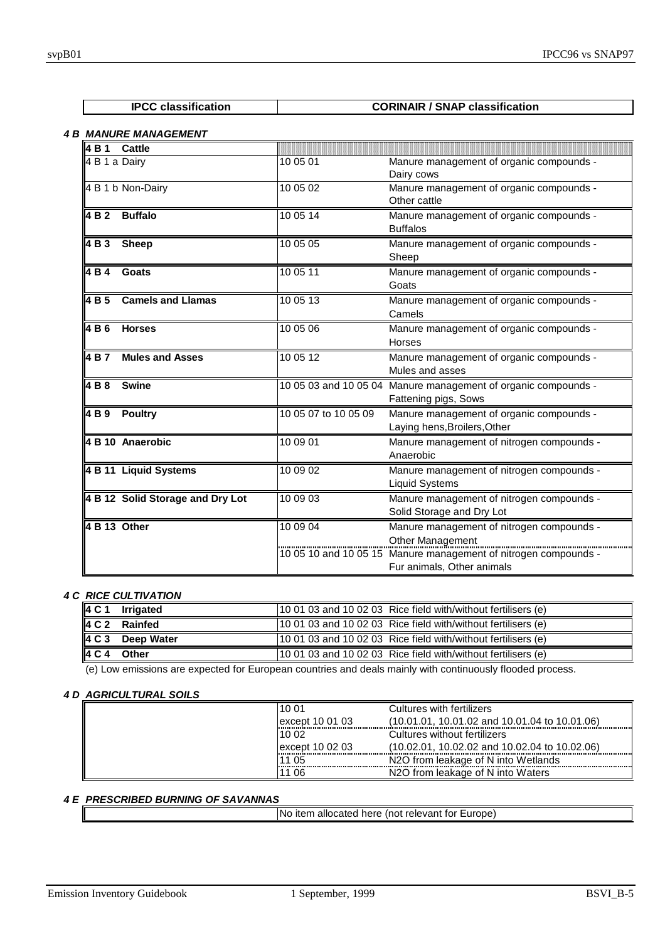| <b>IPCC classification</b> | <b>CORINAIR / SNAP classification</b> |
|----------------------------|---------------------------------------|

# *4 B MANURE MANAGEMENT*

| 4 B 1           | Cattle                           |                      |                                                                                                                                  |
|-----------------|----------------------------------|----------------------|----------------------------------------------------------------------------------------------------------------------------------|
| 4 B 1 a Dairy   |                                  | 10 05 01             | Manure management of organic compounds -<br>Dairy cows                                                                           |
|                 | 4 B 1 b Non-Dairy                | 10 05 02             | Manure management of organic compounds -<br>Other cattle                                                                         |
| 4 B 2           | <b>Buffalo</b>                   | 10 05 14             | Manure management of organic compounds -<br><b>Buffalos</b>                                                                      |
| 4 B 3           | <b>Sheep</b>                     | 10 05 05             | Manure management of organic compounds -<br>Sheep                                                                                |
| 4 B 4           | Goats                            | 10 05 11             | Manure management of organic compounds -<br>Goats                                                                                |
| 4B <sub>5</sub> | <b>Camels and Llamas</b>         | 10 05 13             | Manure management of organic compounds -<br>Camels                                                                               |
| 4 B 6           | <b>Horses</b>                    | 10 05 06             | Manure management of organic compounds -<br>Horses                                                                               |
| 4 B 7           | <b>Mules and Asses</b>           | 10 05 12             | Manure management of organic compounds -<br>Mules and asses                                                                      |
| 4 B 8           | <b>Swine</b>                     |                      | 10 05 03 and 10 05 04 Manure management of organic compounds -<br>Fattening pigs, Sows                                           |
| 4 B 9           | <b>Poultry</b>                   | 10 05 07 to 10 05 09 | Manure management of organic compounds -<br>Laying hens, Broilers, Other                                                         |
|                 | 4 B 10 Anaerobic                 | 10 09 01             | Manure management of nitrogen compounds -<br>Anaerobic                                                                           |
|                 | 4 B 11 Liquid Systems            | 10 09 02             | Manure management of nitrogen compounds -<br><b>Liquid Systems</b>                                                               |
|                 | 4 B 12 Solid Storage and Dry Lot | 10 09 03             | Manure management of nitrogen compounds -<br>Solid Storage and Dry Lot                                                           |
| 4 B 13 Other    |                                  | 10 09 04             | Manure management of nitrogen compounds -<br>Other Management<br>10 05 10 and 10 05 15 Manure management of nitrogen compounds - |
|                 |                                  |                      | Fur animals, Other animals                                                                                                       |

## *4 C RICE CULTIVATION*

| 4 C 1 | <b>Irrigated</b> | 10 01 03 and 10 02 03 Rice field with/without fertilisers (e) |
|-------|------------------|---------------------------------------------------------------|
|       | 4 C 2 Rainfed    | 10 01 03 and 10 02 03 Rice field with/without fertilisers (e) |
| 4 C 3 | Deep Water       | 10 01 03 and 10 02 03 Rice field with/without fertilisers (e) |
| 4 C 4 | Other            | 10 01 03 and 10 02 03 Rice field with/without fertilisers (e) |

(e) Low emissions are expected for European countries and deals mainly with continuously flooded process.

## *4 D AGRICULTURAL SOILS*

| 10 01            | Cultures with fertilizers                       |
|------------------|-------------------------------------------------|
| except 10 01 03  | $(10.01.01, 10.01.02$ and 10.01.04 to 10.01.06) |
| 10 02            | Cultures without fertilizers                    |
| lexcept 10 02 03 | (10.02.01, 10.02.02 and 10.02.04 to 10.02.06)   |
| 1 05             | N2O from leakage of N into Wetlands             |
| 06               | N2O from leakage of N into Waters               |

# *4 E PRESCRIBED BURNING OF SAVANNAS*

| INo item allocated here (not relevant for Europe) |  |
|---------------------------------------------------|--|
|                                                   |  |
|                                                   |  |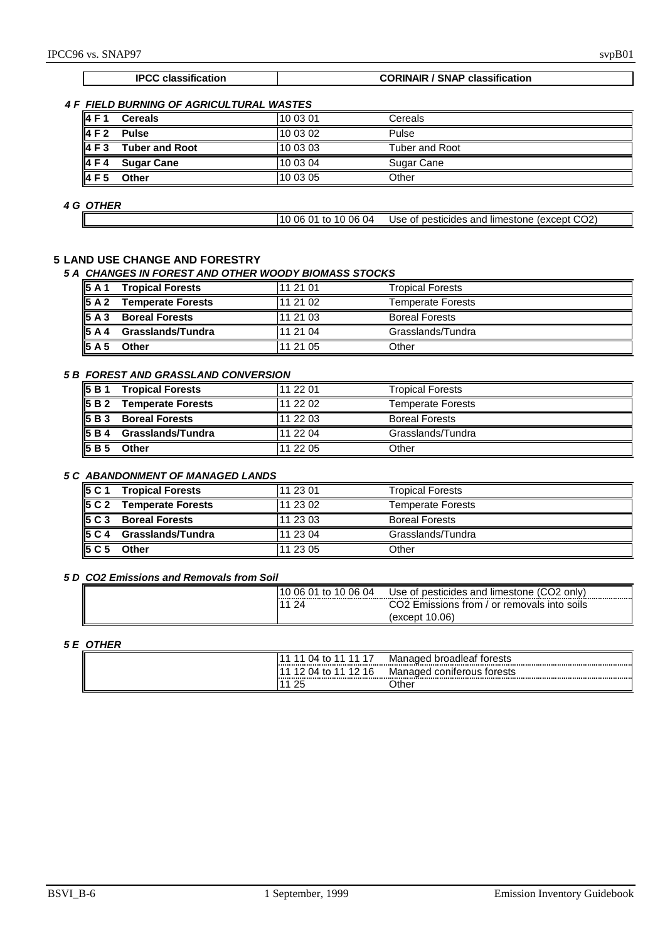#### **IPCC classification CORINAIR / SNAP classification**

## *4 F FIELD BURNING OF AGRICULTURAL WASTES*

| 4F1             | <b>Cereals</b>        | 10 03 01 | Cereals        |
|-----------------|-----------------------|----------|----------------|
| 4F2             | <b>Pulse</b>          | 10 03 02 | Pulse          |
| 4F3             | <b>Tuber and Root</b> | 10 03 03 | Tuber and Root |
| 4F4             | <b>Sugar Cane</b>     | 10 03 04 | Sugar Cane     |
| 4F <sub>5</sub> | Other                 | 10 03 05 | Other          |

## *4 G OTHER*

| 10 06 01 to 10 06 04 | Use of pesticides and limestone (except CO2) |  |
|----------------------|----------------------------------------------|--|

## **5 LAND USE CHANGE AND FORESTRY**

#### *5 A CHANGES IN FOREST AND OTHER WOODY BIOMASS STOCKS*

| 5A1                | <b>Tropical Forests</b>  | 11 21 01 | <b>Tropical Forests</b>  |
|--------------------|--------------------------|----------|--------------------------|
| $\overline{5}$ A 2 | <b>Temperate Forests</b> | 11 21 02 | <b>Temperate Forests</b> |
| 5A3                | <b>Boreal Forests</b>    | 11 21 03 | <b>Boreal Forests</b>    |
| 5A4                | Grasslands/Tundra        | 11 21 04 | Grasslands/Tundra        |
| 5A5                | Other                    | 11 21 05 | Other                    |

## *5 B FOREST AND GRASSLAND CONVERSION*

| 5B1                | <b>Tropical Forests</b>  | 11 22 01 | <b>Tropical Forests</b>  |
|--------------------|--------------------------|----------|--------------------------|
| 5B <sub>2</sub>    | <b>Temperate Forests</b> | 11 22 02 | <b>Temperate Forests</b> |
| 5B <sub>3</sub>    | <b>Boreal Forests</b>    | 11 22 03 | <b>Boreal Forests</b>    |
| <b>5B4</b>         | <b>Grasslands/Tundra</b> | 11 22 04 | Grasslands/Tundra        |
| $\overline{5}$ B 5 | Other                    | 11 22 05 | Other                    |

## *5 C ABANDONMENT OF MANAGED LANDS*

| 5 C 1           | <b>Tropical Forests</b>  | 11 23 01 | <b>Tropical Forests</b>  |
|-----------------|--------------------------|----------|--------------------------|
| 5 C 2           | <b>Temperate Forests</b> | 11 23 02 | <b>Temperate Forests</b> |
| 5C3             | <b>Boreal Forests</b>    | 11 23 03 | <b>Boreal Forests</b>    |
| 5 C 4           | <b>Grasslands/Tundra</b> | 11 23 04 | Grasslands/Tundra        |
| 5C <sub>5</sub> | Other                    | 11 23 05 | Other                    |

#### *5 D CO2 Emissions and Removals from Soil*

| '10 06 01 to 10 06 04 | Use of pesticides and limestone (CO2<br>only) |
|-----------------------|-----------------------------------------------|
| $2\Delta$             | CO2 Emissions from / or removals into soils   |
|                       | (except 10.06)                                |

## *5 E OTHER*

| <br>14<br>LL.                | Ma<br>oadleai<br>rests<br>nager<br>, ن<br>. |
|------------------------------|---------------------------------------------|
| 4 C<br>۱٥.<br>เเ<br>. .<br>- | Managed<br>,orests<br>conferous             |
| $\sim$<br>∼                  | )ther                                       |